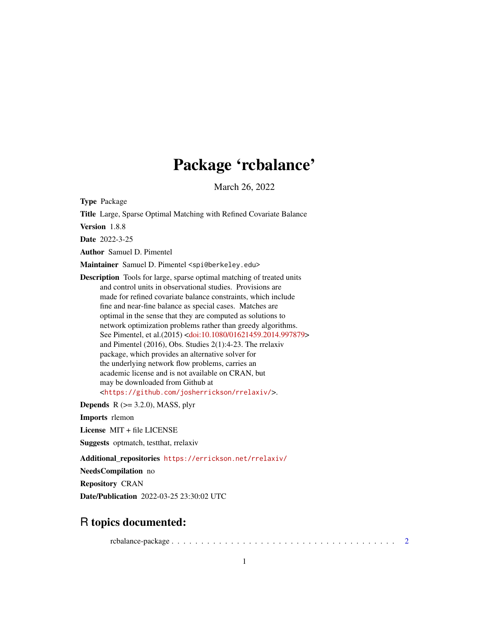## Package 'rcbalance'

March 26, 2022

Type Package

Title Large, Sparse Optimal Matching with Refined Covariate Balance Version 1.8.8 Date 2022-3-25 Author Samuel D. Pimentel Maintainer Samuel D. Pimentel <spi@berkeley.edu> Description Tools for large, sparse optimal matching of treated units and control units in observational studies. Provisions are made for refined covariate balance constraints, which include fine and near-fine balance as special cases. Matches are optimal in the sense that they are computed as solutions to network optimization problems rather than greedy algorithms. See Pimentel, et al.(2015) [<doi:10.1080/01621459.2014.997879>](https://doi.org/10.1080/01621459.2014.997879) and Pimentel (2016), Obs. Studies 2(1):4-23. The rrelaxiv package, which provides an alternative solver for the underlying network flow problems, carries an

may be downloaded from Github at <<https://github.com/josherrickson/rrelaxiv/>>.

academic license and is not available on CRAN, but

**Depends**  $R$  ( $>= 3.2.0$ ), MASS, plyr

Imports rlemon

License MIT + file LICENSE

Suggests optmatch, testthat, rrelaxiv

Additional\_repositories <https://errickson.net/rrelaxiv/>

NeedsCompilation no

Repository CRAN

Date/Publication 2022-03-25 23:30:02 UTC

### R topics documented:

rcbalance-package . . . . . . . . . . . . . . . . . . . . . . . . . . . . . . . . . . . . . . [2](#page-1-0)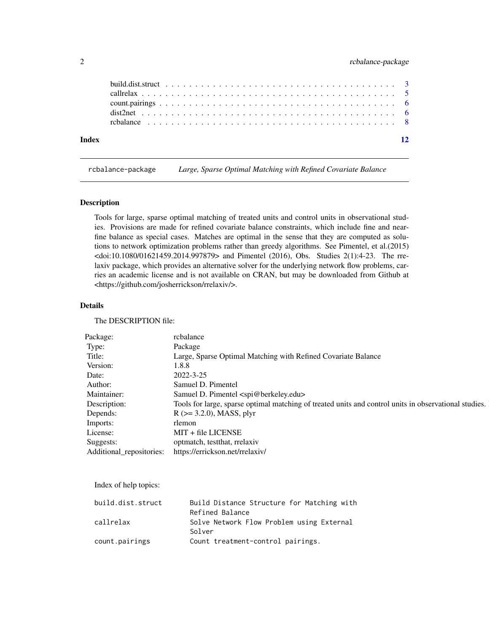#### <span id="page-1-0"></span>2 rcbalance-package

| Index |  |  |  |  |  |  |  |  |  |  |  |  |  |  |  |  |  |  |
|-------|--|--|--|--|--|--|--|--|--|--|--|--|--|--|--|--|--|--|

rcbalance-package *Large, Sparse Optimal Matching with Refined Covariate Balance*

#### Description

Tools for large, sparse optimal matching of treated units and control units in observational studies. Provisions are made for refined covariate balance constraints, which include fine and nearfine balance as special cases. Matches are optimal in the sense that they are computed as solutions to network optimization problems rather than greedy algorithms. See Pimentel, et al.(2015) <doi:10.1080/01621459.2014.997879> and Pimentel (2016), Obs. Studies 2(1):4-23. The rrelaxiv package, which provides an alternative solver for the underlying network flow problems, carries an academic license and is not available on CRAN, but may be downloaded from Github at <https://github.com/josherrickson/rrelaxiv/>.

#### Details

The DESCRIPTION file:

| Package:     | rcbalance                                                                                             |
|--------------|-------------------------------------------------------------------------------------------------------|
|              | Package                                                                                               |
|              | Large, Sparse Optimal Matching with Refined Covariate Balance                                         |
| Version:     | 1.8.8                                                                                                 |
| )ate         | 2022-3-25                                                                                             |
| Author:      | Samuel D. Pimentel                                                                                    |
| Maintainer:  | Samuel D. Pimentel <spi@berkeley.edu></spi@berkeley.edu>                                              |
| Description: | Tools for large, sparse optimal matching of treated units and control units in observational studies. |
| Depends:     | $R$ ( $>=$ 3.2.0), MASS, plyr                                                                         |
| Imports:     | rlemon                                                                                                |
| License:     | MIT + file LICENSE                                                                                    |
| Suggests:    | optmatch, testthat, rrelaxiv                                                                          |
|              | Additional_repositories: https://errickson.net/rrelaxiv/                                              |
|              |                                                                                                       |

Index of help topics:

| build.dist.struct | Build Distance Structure for Matching with |
|-------------------|--------------------------------------------|
|                   | Refined Balance                            |
| callrelax         | Solve Network Flow Problem using External  |
|                   | Solver                                     |
| count.pairings    | Count treatment-control pairings.          |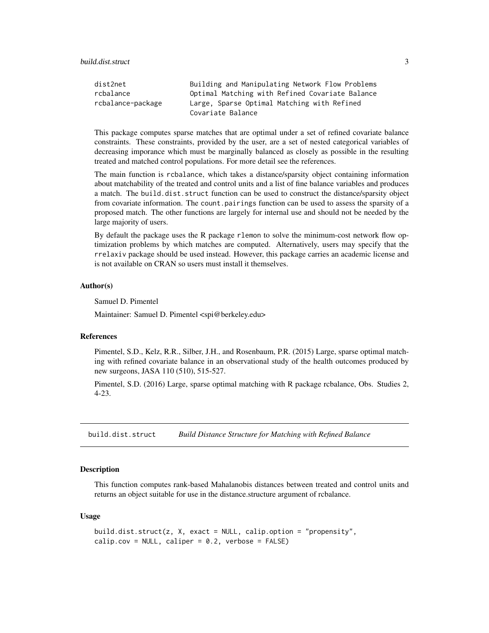<span id="page-2-0"></span>build.dist.struct 3

| dist2net          | Building and Manipulating Network Flow Problems |
|-------------------|-------------------------------------------------|
| rcbalance         | Optimal Matching with Refined Covariate Balance |
| rcbalance-package | Large, Sparse Optimal Matching with Refined     |
|                   | Covariate Balance                               |

This package computes sparse matches that are optimal under a set of refined covariate balance constraints. These constraints, provided by the user, are a set of nested categorical variables of decreasing imporance which must be marginally balanced as closely as possible in the resulting treated and matched control populations. For more detail see the references.

The main function is rcbalance, which takes a distance/sparsity object containing information about matchability of the treated and control units and a list of fine balance variables and produces a match. The build.dist.struct function can be used to construct the distance/sparsity object from covariate information. The count.pairings function can be used to assess the sparsity of a proposed match. The other functions are largely for internal use and should not be needed by the large majority of users.

By default the package uses the R package rlemon to solve the minimum-cost network flow optimization problems by which matches are computed. Alternatively, users may specify that the rrelaxiv package should be used instead. However, this package carries an academic license and is not available on CRAN so users must install it themselves.

#### Author(s)

Samuel D. Pimentel

Maintainer: Samuel D. Pimentel <spi@berkeley.edu>

#### References

Pimentel, S.D., Kelz, R.R., Silber, J.H., and Rosenbaum, P.R. (2015) Large, sparse optimal matching with refined covariate balance in an observational study of the health outcomes produced by new surgeons, JASA 110 (510), 515-527.

Pimentel, S.D. (2016) Large, sparse optimal matching with R package rcbalance, Obs. Studies 2, 4-23.

build.dist.struct *Build Distance Structure for Matching with Refined Balance*

#### Description

This function computes rank-based Mahalanobis distances between treated and control units and returns an object suitable for use in the distance.structure argument of rcbalance.

#### Usage

```
build.dist.struct(z, X, exact = NULL, calip.option = "propensity",
calip.cov = NULL, caliper = 0.2, verbose = FALSE)
```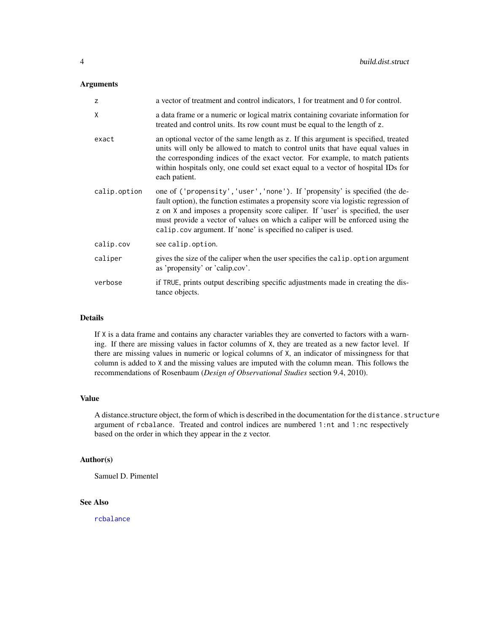#### <span id="page-3-0"></span>Arguments

| z            | a vector of treatment and control indicators, 1 for treatment and 0 for control.                                                                                                                                                                                                                                                                                                                          |
|--------------|-----------------------------------------------------------------------------------------------------------------------------------------------------------------------------------------------------------------------------------------------------------------------------------------------------------------------------------------------------------------------------------------------------------|
| χ            | a data frame or a numeric or logical matrix containing covariate information for<br>treated and control units. Its row count must be equal to the length of z.                                                                                                                                                                                                                                            |
| exact        | an optional vector of the same length as z. If this argument is specified, treated<br>units will only be allowed to match to control units that have equal values in<br>the corresponding indices of the exact vector. For example, to match patients<br>within hospitals only, one could set exact equal to a vector of hospital IDs for<br>each patient.                                                |
| calip.option | one of ('propensity', 'user', 'none'). If 'propensity' is specified (the de-<br>fault option), the function estimates a propensity score via logistic regression of<br>z on X and imposes a propensity score caliper. If 'user' is specified, the user<br>must provide a vector of values on which a caliper will be enforced using the<br>calip.cov argument. If 'none' is specified no caliper is used. |
| calip.cov    | see calip.option.                                                                                                                                                                                                                                                                                                                                                                                         |
| caliper      | gives the size of the caliper when the user specifies the calip. option argument<br>as 'propensity' or 'calip.cov'.                                                                                                                                                                                                                                                                                       |
| verbose      | if TRUE, prints output describing specific adjustments made in creating the dis-<br>tance objects.                                                                                                                                                                                                                                                                                                        |

#### Details

If X is a data frame and contains any character variables they are converted to factors with a warning. If there are missing values in factor columns of X, they are treated as a new factor level. If there are missing values in numeric or logical columns of X, an indicator of missingness for that column is added to X and the missing values are imputed with the column mean. This follows the recommendations of Rosenbaum (*Design of Observational Studies* section 9.4, 2010).

#### Value

A distance.structure object, the form of which is described in the documentation for the distance.structure argument of rcbalance. Treated and control indices are numbered 1:nt and 1:nc respectively based on the order in which they appear in the z vector.

#### Author(s)

Samuel D. Pimentel

#### See Also

[rcbalance](#page-7-1)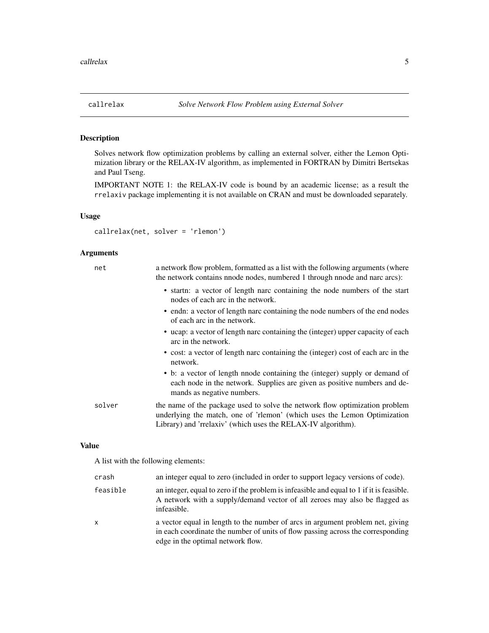<span id="page-4-0"></span>

#### Description

Solves network flow optimization problems by calling an external solver, either the Lemon Optimization library or the RELAX-IV algorithm, as implemented in FORTRAN by Dimitri Bertsekas and Paul Tseng.

IMPORTANT NOTE 1: the RELAX-IV code is bound by an academic license; as a result the rrelaxiv package implementing it is not available on CRAN and must be downloaded separately.

#### Usage

callrelax(net, solver = 'rlemon')

#### Arguments

| net    | a network flow problem, formatted as a list with the following arguments (where<br>the network contains nnode nodes, numbered 1 through nnode and narc arcs):                                                           |
|--------|-------------------------------------------------------------------------------------------------------------------------------------------------------------------------------------------------------------------------|
|        | • startn: a vector of length narc containing the node numbers of the start<br>nodes of each arc in the network.                                                                                                         |
|        | • endn: a vector of length narc containing the node numbers of the end nodes<br>of each arc in the network.                                                                                                             |
|        | • ucap: a vector of length narc containing the (integer) upper capacity of each<br>arc in the network.                                                                                                                  |
|        | • cost: a vector of length narc containing the (integer) cost of each arc in the<br>network.                                                                                                                            |
|        | • b: a vector of length nnode containing the (integer) supply or demand of<br>each node in the network. Supplies are given as positive numbers and de-<br>mands as negative numbers.                                    |
| solver | the name of the package used to solve the network flow optimization problem<br>underlying the match, one of 'rlemon' (which uses the Lemon Optimization<br>Library) and 'rrelaxiv' (which uses the RELAX-IV algorithm). |

#### Value

A list with the following elements:

| crash        | an integer equal to zero (included in order to support legacy versions of code).                                                                                                                       |
|--------------|--------------------------------------------------------------------------------------------------------------------------------------------------------------------------------------------------------|
| feasible     | an integer, equal to zero if the problem is infeasible and equal to 1 if it is feasible.<br>A network with a supply/demand vector of all zeroes may also be flagged as<br>infeasible.                  |
| $\mathsf{x}$ | a vector equal in length to the number of arcs in argument problem net, giving<br>in each coordinate the number of units of flow passing across the corresponding<br>edge in the optimal network flow. |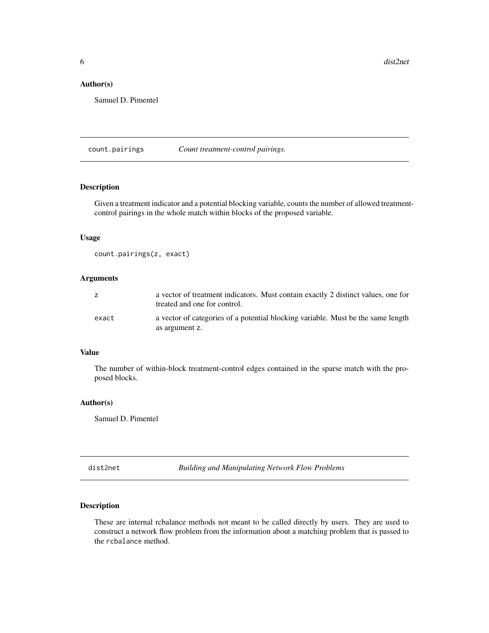<span id="page-5-0"></span>**6** dist2net

#### Author(s)

Samuel D. Pimentel

count.pairings *Count treatment-control pairings.*

#### Description

Given a treatment indicator and a potential blocking variable, counts the number of allowed treatmentcontrol pairings in the whole match within blocks of the proposed variable.

#### Usage

```
count.pairings(z, exact)
```
#### Arguments

|       | a vector of treatment indicators. Must contain exactly 2 distinct values, one for<br>treated and one for control. |
|-------|-------------------------------------------------------------------------------------------------------------------|
| exact | a vector of categories of a potential blocking variable. Must be the same length<br>as argument z.                |

#### Value

The number of within-block treatment-control edges contained in the sparse match with the proposed blocks.

#### Author(s)

Samuel D. Pimentel

dist2net *Building and Manipulating Network Flow Problems*

#### Description

These are internal rcbalance methods not meant to be called directly by users. They are used to construct a network flow problem from the information about a matching problem that is passed to the rcbalance method.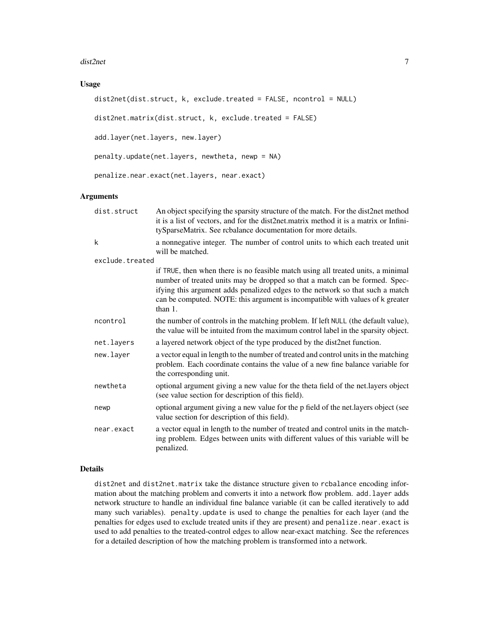#### dist2net 7

#### Usage

```
dist2net(dist.struct, k, exclude.treated = FALSE, ncontrol = NULL)
```

```
dist2net.matrix(dist.struct, k, exclude.treated = FALSE)
```
add.layer(net.layers, new.layer)

penalty.update(net.layers, newtheta, newp = NA)

penalize.near.exact(net.layers, near.exact)

#### Arguments

| dist.struct     | An object specifying the sparsity structure of the match. For the dist2net method<br>it is a list of vectors, and for the dist2net.matrix method it is a matrix or Infini-<br>tySparseMatrix. See rcbalance documentation for more details.                                                                                                  |
|-----------------|----------------------------------------------------------------------------------------------------------------------------------------------------------------------------------------------------------------------------------------------------------------------------------------------------------------------------------------------|
| k               | a nonnegative integer. The number of control units to which each treated unit<br>will be matched.                                                                                                                                                                                                                                            |
| exclude.treated |                                                                                                                                                                                                                                                                                                                                              |
|                 | if TRUE, then when there is no feasible match using all treated units, a minimal<br>number of treated units may be dropped so that a match can be formed. Spec-<br>ifying this argument adds penalized edges to the network so that such a match<br>can be computed. NOTE: this argument is incompatible with values of k greater<br>than 1. |
| ncontrol        | the number of controls in the matching problem. If left NULL (the default value),<br>the value will be intuited from the maximum control label in the sparsity object.                                                                                                                                                                       |
| net.layers      | a layered network object of the type produced by the dist2net function.                                                                                                                                                                                                                                                                      |
| new.layer       | a vector equal in length to the number of treated and control units in the matching<br>problem. Each coordinate contains the value of a new fine balance variable for<br>the corresponding unit.                                                                                                                                             |
| newtheta        | optional argument giving a new value for the theta field of the net.layers object<br>(see value section for description of this field).                                                                                                                                                                                                      |
| newp            | optional argument giving a new value for the p field of the net.layers object (see<br>value section for description of this field).                                                                                                                                                                                                          |
| near.exact      | a vector equal in length to the number of treated and control units in the match-<br>ing problem. Edges between units with different values of this variable will be<br>penalized.                                                                                                                                                           |

#### Details

dist2net and dist2net.matrix take the distance structure given to rcbalance encoding information about the matching problem and converts it into a network flow problem. add. Layer adds network structure to handle an individual fine balance variable (it can be called iteratively to add many such variables). penalty.update is used to change the penalties for each layer (and the penalties for edges used to exclude treated units if they are present) and penalize.near.exact is used to add penalties to the treated-control edges to allow near-exact matching. See the references for a detailed description of how the matching problem is transformed into a network.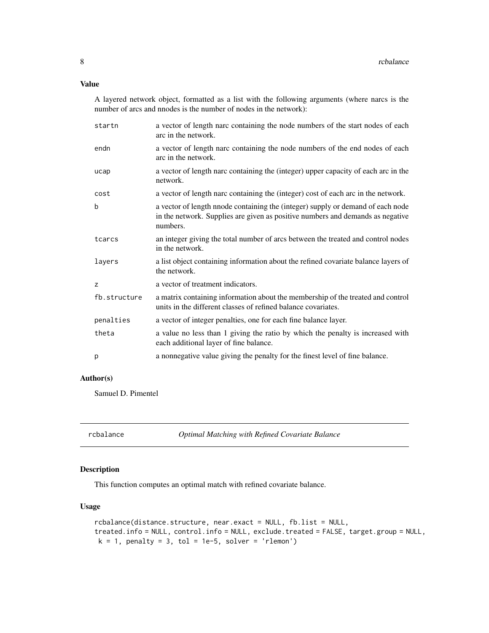#### <span id="page-7-0"></span>Value

A layered network object, formatted as a list with the following arguments (where narcs is the number of arcs and nnodes is the number of nodes in the network):

| a vector of length narc containing the node numbers of the start nodes of each<br>arc in the network.                                                                         |
|-------------------------------------------------------------------------------------------------------------------------------------------------------------------------------|
| a vector of length narc containing the node numbers of the end nodes of each<br>arc in the network.                                                                           |
| a vector of length narc containing the (integer) upper capacity of each arc in the<br>network.                                                                                |
| a vector of length narc containing the (integer) cost of each arc in the network.                                                                                             |
| a vector of length nnode containing the (integer) supply or demand of each node<br>in the network. Supplies are given as positive numbers and demands as negative<br>numbers. |
| an integer giving the total number of arcs between the treated and control nodes<br>in the network.                                                                           |
| a list object containing information about the refined covariate balance layers of<br>the network.                                                                            |
| a vector of treatment indicators.                                                                                                                                             |
| a matrix containing information about the membership of the treated and control<br>units in the different classes of refined balance covariates.                              |
| a vector of integer penalties, one for each fine balance layer.                                                                                                               |
| a value no less than 1 giving the ratio by which the penalty is increased with<br>each additional layer of fine balance.                                                      |
| a nonnegative value giving the penalty for the finest level of fine balance.                                                                                                  |
|                                                                                                                                                                               |

#### Author(s)

Samuel D. Pimentel

<span id="page-7-1"></span>rcbalance *Optimal Matching with Refined Covariate Balance*

#### Description

This function computes an optimal match with refined covariate balance.

#### Usage

```
rcbalance(distance.structure, near.exact = NULL, fb.list = NULL,
treated.info = NULL, control.info = NULL, exclude.treated = FALSE, target.group = NULL,
k = 1, penalty = 3, tol = 1e-5, solver = 'rlemon')
```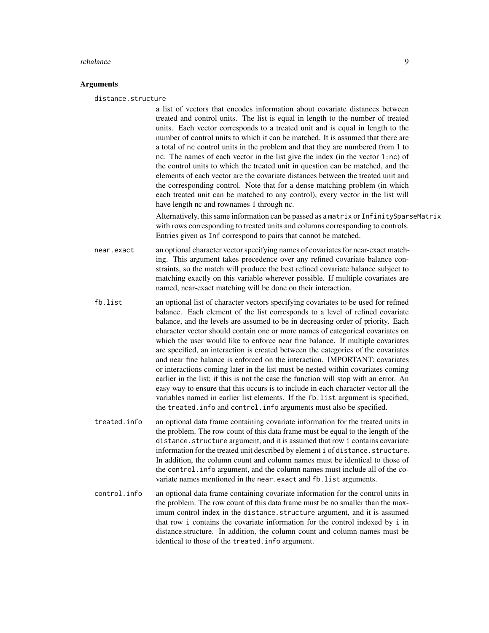#### rcbalance 9

#### **Arguments**

distance.structure

a list of vectors that encodes information about covariate distances between treated and control units. The list is equal in length to the number of treated units. Each vector corresponds to a treated unit and is equal in length to the number of control units to which it can be matched. It is assumed that there are a total of nc control units in the problem and that they are numbered from 1 to nc. The names of each vector in the list give the index (in the vector 1:nc) of the control units to which the treated unit in question can be matched, and the elements of each vector are the covariate distances between the treated unit and the corresponding control. Note that for a dense matching problem (in which each treated unit can be matched to any control), every vector in the list will have length nc and rownames 1 through nc.

Alternatively, this same information can be passed as a matrix or InfinitySparseMatrix with rows corresponding to treated units and columns corresponding to controls. Entries given as Inf correspond to pairs that cannot be matched.

near.exact an optional character vector specifying names of covariates for near-exact matching. This argument takes precedence over any refined covariate balance constraints, so the match will produce the best refined covariate balance subject to matching exactly on this variable wherever possible. If multiple covariates are named, near-exact matching will be done on their interaction.

- fb.list an optional list of character vectors specifying covariates to be used for refined balance. Each element of the list corresponds to a level of refined covariate balance, and the levels are assumed to be in decreasing order of priority. Each character vector should contain one or more names of categorical covariates on which the user would like to enforce near fine balance. If multiple covariates are specified, an interaction is created between the categories of the covariates and near fine balance is enforced on the interaction. IMPORTANT: covariates or interactions coming later in the list must be nested within covariates coming earlier in the list; if this is not the case the function will stop with an error. An easy way to ensure that this occurs is to include in each character vector all the variables named in earlier list elements. If the fb.list argument is specified, the treated.info and control.info arguments must also be specified.
- treated.info an optional data frame containing covariate information for the treated units in the problem. The row count of this data frame must be equal to the length of the distance.structure argument, and it is assumed that row i contains covariate information for the treated unit described by element i of distance.structure. In addition, the column count and column names must be identical to those of the control.info argument, and the column names must include all of the covariate names mentioned in the near.exact and fb.list arguments.
- control.info an optional data frame containing covariate information for the control units in the problem. The row count of this data frame must be no smaller than the maximum control index in the distance.structure argument, and it is assumed that row i contains the covariate information for the control indexed by i in distance.structure. In addition, the column count and column names must be identical to those of the treated.info argument.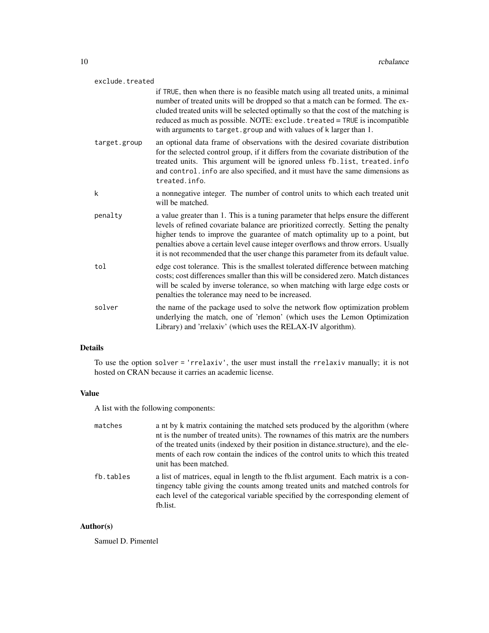| exclude.treated |                                                                                                                                                                                                                                                                                                                                                                                                                                    |
|-----------------|------------------------------------------------------------------------------------------------------------------------------------------------------------------------------------------------------------------------------------------------------------------------------------------------------------------------------------------------------------------------------------------------------------------------------------|
|                 | if TRUE, then when there is no feasible match using all treated units, a minimal<br>number of treated units will be dropped so that a match can be formed. The ex-<br>cluded treated units will be selected optimally so that the cost of the matching is<br>reduced as much as possible. NOTE: exclude. treated = TRUE is incompatible<br>with arguments to target.group and with values of k larger than 1.                      |
| target.group    | an optional data frame of observations with the desired covariate distribution<br>for the selected control group, if it differs from the covariate distribution of the<br>treated units. This argument will be ignored unless fb.list, treated.info<br>and control. info are also specified, and it must have the same dimensions as<br>treated.info.                                                                              |
| k               | a nonnegative integer. The number of control units to which each treated unit<br>will be matched.                                                                                                                                                                                                                                                                                                                                  |
| penalty         | a value greater than 1. This is a tuning parameter that helps ensure the different<br>levels of refined covariate balance are prioritized correctly. Setting the penalty<br>higher tends to improve the guarantee of match optimality up to a point, but<br>penalties above a certain level cause integer overflows and throw errors. Usually<br>it is not recommended that the user change this parameter from its default value. |
| tol             | edge cost tolerance. This is the smallest tolerated difference between matching<br>costs; cost differences smaller than this will be considered zero. Match distances<br>will be scaled by inverse tolerance, so when matching with large edge costs or<br>penalties the tolerance may need to be increased.                                                                                                                       |
| solver          | the name of the package used to solve the network flow optimization problem<br>underlying the match, one of 'rlemon' (which uses the Lemon Optimization<br>Library) and 'rrelaxiv' (which uses the RELAX-IV algorithm).                                                                                                                                                                                                            |

#### Details

To use the option solver = 'rrelaxiv', the user must install the rrelaxiv manually; it is not hosted on CRAN because it carries an academic license.

#### Value

A list with the following components:

| matches   | a nt by k matrix containing the matched sets produced by the algorithm (where<br>nt is the number of treated units). The rownames of this matrix are the numbers<br>of the treated units (indexed by their position in distance structure), and the ele-<br>ments of each row contain the indices of the control units to which this treated<br>unit has been matched. |
|-----------|------------------------------------------------------------------------------------------------------------------------------------------------------------------------------------------------------------------------------------------------------------------------------------------------------------------------------------------------------------------------|
| fb.tables | a list of matrices, equal in length to the fb. list argument. Each matrix is a con-<br>tingency table giving the counts among treated units and matched controls for<br>each level of the categorical variable specified by the corresponding element of<br>fb.list.                                                                                                   |

#### Author(s)

Samuel D. Pimentel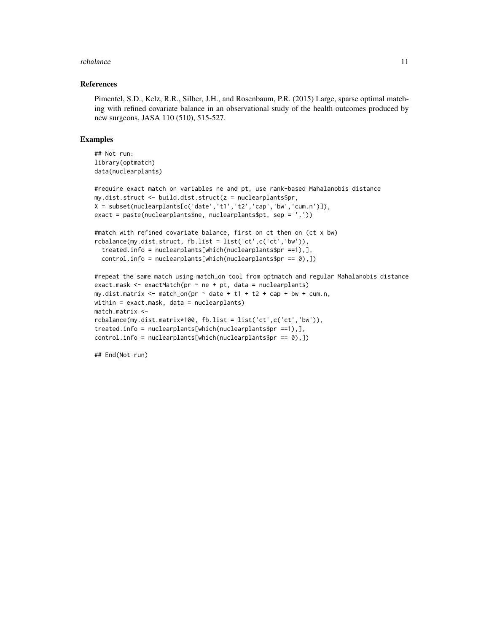#### rcbalance 11

#### References

Pimentel, S.D., Kelz, R.R., Silber, J.H., and Rosenbaum, P.R. (2015) Large, sparse optimal matching with refined covariate balance in an observational study of the health outcomes produced by new surgeons, JASA 110 (510), 515-527.

#### Examples

```
## Not run:
library(optmatch)
data(nuclearplants)
```

```
#require exact match on variables ne and pt, use rank-based Mahalanobis distance
my.dist.struct <- build.dist.struct(z = nuclearplants$pr,
X = subset(nuclearplants[c('date','t1','t2','cap','bw','cum.n')]),
exact = paste(nuclearplants$ne, nuclearplants$pt, sep = '.'))
#match with refined covariate balance, first on ct then on (ct x bw)
rcbalance(my.dist.struct, fb.list = list('ct',c('ct','bw')),
 treated.info = nuclearplants[which(nuclearplants$pr ==1),],
 control.info = nuclearplants[which(nuclearplants$pr == 0),])
#repeat the same match using match_on tool from optmatch and regular Mahalanobis distance
exact.mask \leq exactMatch(pr \sim ne + pt, data = nuclearplants)
my.dist.matrix <- match_on(pr \sim date + t1 + t2 + cap + bw + cum.n,
within = exact.mask, data = nuclearplants)
match.matrix <-
rcbalance(my.dist.matrix*100, fb.list = list('ct',c('ct','bw')),
treated.info = nuclearplants[which(nuclearplants$pr ==1),],
control.info = nuclearplants[which(nuclearplants$pr == 0),])
```

```
## End(Not run)
```